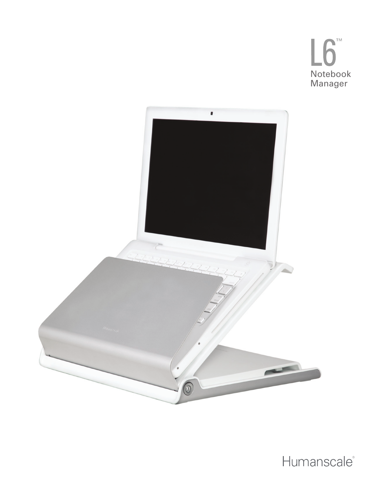



Humanscale®